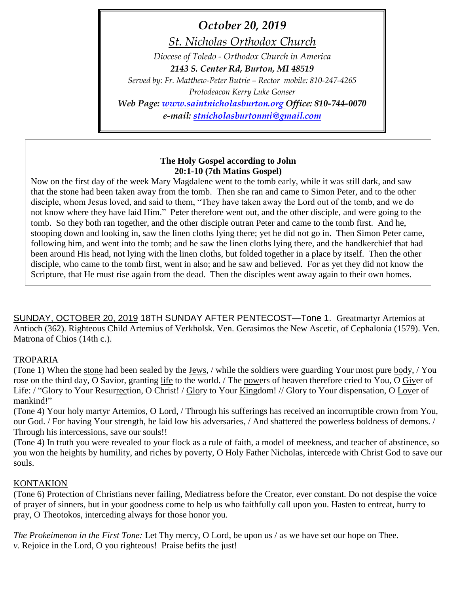*October 20, 2019*

*St. Nicholas Orthodox Church*

*Diocese of Toledo - Orthodox Church in America 2143 S. Center Rd, Burton, MI 48519 Served by: Fr. Matthew-Peter Butrie – Rector mobile: 810-247-4265 Protodeacon Kerry Luke Gonser Web Page: [www.saintnicholasburton.org](http://www.saintnicholasburton.org/) Office: 810-744-0070*

*e-mail: [stnicholasburtonmi@gmail.com](mailto:stnicholasburtonmi@gmail.com)*

### **The Holy Gospel according to John 20:1-10 (7th Matins Gospel)**

Now on the first day of the week Mary Magdalene went to the tomb early, while it was still dark, and saw that the stone had been taken away from the tomb. Then she ran and came to Simon Peter, and to the other disciple, whom Jesus loved, and said to them, "They have taken away the Lord out of the tomb, and we do not know where they have laid Him." Peter therefore went out, and the other disciple, and were going to the tomb. So they both ran together, and the other disciple outran Peter and came to the tomb first. And he, stooping down and looking in, saw the linen cloths lying there; yet he did not go in. Then Simon Peter came, following him, and went into the tomb; and he saw the linen cloths lying there, and the handkerchief that had been around His head, not lying with the linen cloths, but folded together in a place by itself. Then the other disciple, who came to the tomb first, went in also; and he saw and believed. For as yet they did not know the Scripture, that He must rise again from the dead. Then the disciples went away again to their own homes.

SUNDAY, OCTOBER 20, 2019 18TH SUNDAY AFTER PENTECOST—Tone 1. Greatmartyr Artemios at Antioch (362). Righteous Child Artemius of Verkholsk. Ven. Gerasimos the New Ascetic, of Cephalonia (1579). Ven. Matrona of Chios (14th c.).

## TROPARIA

(Tone 1) When the stone had been sealed by the Jews, / while the soldiers were guarding Your most pure body, / You rose on the third day, O Savior, granting life to the world. / The powers of heaven therefore cried to You, O Giver of Life: / "Glory to Your Resurrection, O Christ! / Glory to Your Kingdom! // Glory to Your dispensation, O Lover of mankind!"

(Tone 4) Your holy martyr Artemios, O Lord, / Through his sufferings has received an incorruptible crown from You, our God. / For having Your strength, he laid low his adversaries, / And shattered the powerless boldness of demons. / Through his intercessions, save our souls!!

(Tone 4) In truth you were revealed to your flock as a rule of faith, a model of meekness, and teacher of abstinence, so you won the heights by humility, and riches by poverty, O Holy Father Nicholas, intercede with Christ God to save our souls.

## **KONTAKION**

(Tone 6) Protection of Christians never failing, Mediatress before the Creator, ever constant. Do not despise the voice of prayer of sinners, but in your goodness come to help us who faithfully call upon you. Hasten to entreat, hurry to pray, O Theotokos, interceding always for those honor you.

*The Prokeimenon in the First Tone:* Let Thy mercy, O Lord, be upon us / as we have set our hope on Thee. *v.* Rejoice in the Lord, O you righteous! Praise befits the just!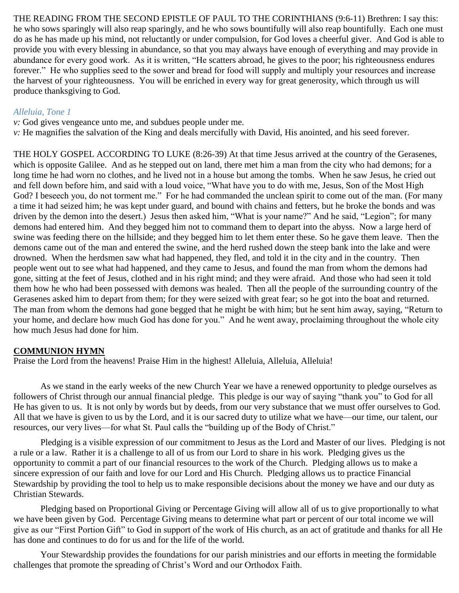THE READING FROM THE SECOND EPISTLE OF PAUL TO THE CORINTHIANS (9:6-11) Brethren: I say this: he who sows sparingly will also reap sparingly, and he who sows bountifully will also reap bountifully. Each one must do as he has made up his mind, not reluctantly or under compulsion, for God loves a cheerful giver. And God is able to provide you with every blessing in abundance, so that you may always have enough of everything and may provide in abundance for every good work. As it is written, "He scatters abroad, he gives to the poor; his righteousness endures forever." He who supplies seed to the sower and bread for food will supply and multiply your resources and increase the harvest of your righteousness. You will be enriched in every way for great generosity, which through us will produce thanksgiving to God.

# *Alleluia, Tone 1*

- *v:* God gives vengeance unto me, and subdues people under me.
- *v:* He magnifies the salvation of the King and deals mercifully with David, His anointed, and his seed forever.

THE HOLY GOSPEL ACCORDING TO LUKE (8:26-39) At that time Jesus arrived at the country of the Gerasenes, which is opposite Galilee. And as he stepped out on land, there met him a man from the city who had demons; for a long time he had worn no clothes, and he lived not in a house but among the tombs. When he saw Jesus, he cried out and fell down before him, and said with a loud voice, "What have you to do with me, Jesus, Son of the Most High God? I beseech you, do not torment me." For he had commanded the unclean spirit to come out of the man. (For many a time it had seized him; he was kept under guard, and bound with chains and fetters, but he broke the bonds and was driven by the demon into the desert.) Jesus then asked him, "What is your name?" And he said, "Legion"; for many demons had entered him. And they begged him not to command them to depart into the abyss. Now a large herd of swine was feeding there on the hillside; and they begged him to let them enter these. So he gave them leave. Then the demons came out of the man and entered the swine, and the herd rushed down the steep bank into the lake and were drowned. When the herdsmen saw what had happened, they fled, and told it in the city and in the country. Then people went out to see what had happened, and they came to Jesus, and found the man from whom the demons had gone, sitting at the feet of Jesus, clothed and in his right mind; and they were afraid. And those who had seen it told them how he who had been possessed with demons was healed. Then all the people of the surrounding country of the Gerasenes asked him to depart from them; for they were seized with great fear; so he got into the boat and returned. The man from whom the demons had gone begged that he might be with him; but he sent him away, saying, "Return to your home, and declare how much God has done for you." And he went away, proclaiming throughout the whole city how much Jesus had done for him.

# **COMMUNION HYMN**

Praise the Lord from the heavens! Praise Him in the highest! Alleluia, Alleluia, Alleluia!

As we stand in the early weeks of the new Church Year we have a renewed opportunity to pledge ourselves as followers of Christ through our annual financial pledge. This pledge is our way of saying "thank you" to God for all He has given to us. It is not only by words but by deeds, from our very substance that we must offer ourselves to God. All that we have is given to us by the Lord, and it is our sacred duty to utilize what we have—our time, our talent, our resources, our very lives—for what St. Paul calls the "building up of the Body of Christ."

Pledging is a visible expression of our commitment to Jesus as the Lord and Master of our lives. Pledging is not a rule or a law. Rather it is a challenge to all of us from our Lord to share in his work. Pledging gives us the opportunity to commit a part of our financial resources to the work of the Church. Pledging allows us to make a sincere expression of our faith and love for our Lord and His Church. Pledging allows us to practice Financial Stewardship by providing the tool to help us to make responsible decisions about the money we have and our duty as Christian Stewards.

Pledging based on Proportional Giving or Percentage Giving will allow all of us to give proportionally to what we have been given by God. Percentage Giving means to determine what part or percent of our total income we will give as our "First Portion Gift" to God in support of the work of His church, as an act of gratitude and thanks for all He has done and continues to do for us and for the life of the world.

Your Stewardship provides the foundations for our parish ministries and our efforts in meeting the formidable challenges that promote the spreading of Christ's Word and our Orthodox Faith.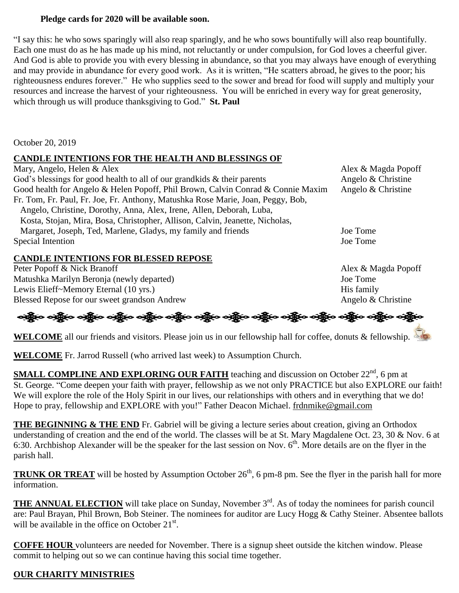### **Pledge cards for 2020 will be available soon.**

"I say this: he who sows sparingly will also reap sparingly, and he who sows bountifully will also reap bountifully. Each one must do as he has made up his mind, not reluctantly or under compulsion, for God loves a cheerful giver. And God is able to provide you with every blessing in abundance, so that you may always have enough of everything and may provide in abundance for every good work. As it is written, "He scatters abroad, he gives to the poor; his righteousness endures forever." He who supplies seed to the sower and bread for food will supply and multiply your resources and increase the harvest of your righteousness. You will be enriched in every way for great generosity, which through us will produce thanksgiving to God." **St. Paul**

October 20, 2019

### **CANDLE INTENTIONS FOR THE HEALTH AND BLESSINGS OF**

Mary, Angelo, Helen & Alex **Alex** Alex **Alex Alex Alex Alex & Magda Popoff** God's blessings for good health to all of our grandkids  $\&$  their parents Angelo  $\&$  Christine Good health for Angelo & Helen Popoff, Phil Brown, Calvin Conrad & Connie Maxim Angelo & Christine Fr. Tom, Fr. Paul, Fr. Joe, Fr. Anthony, Matushka Rose Marie, Joan, Peggy, Bob, Angelo, Christine, Dorothy, Anna, Alex, Irene, Allen, Deborah, Luba, Kosta, Stojan, Mira, Bosa, Christopher, Allison, Calvin, Jeanette, Nicholas, Margaret, Joseph, Ted, Marlene, Gladys, my family and friends Joe Tome Special Intention Joe Tome

### **CANDLE INTENTIONS FOR BLESSED REPOSE**

Peter Popoff & Nick Branoff **Alex & Magda Popoff** Alex & Magda Popoff Matushka Marilyn Beronja (newly departed) Joe Tome Lewis Elieff~Memory Eternal (10 yrs.) His family Blessed Repose for our sweet grandson Andrew Angelo & Christine

းကြီး ပညာပြင် ပညာပြင် ပညာပြင် ပညာပြင် ပညာပြင် ပညာပြင် ပညာပြင် ပညာပြင် ပညာပြင် ပညာပြင် ပညာပြင် ပညာပြင် ပညာပြင်

**WELCOME** all our friends and visitors. Please join us in our fellowship hall for coffee, donuts & fellowship.

**WELCOME** Fr. Jarrod Russell (who arrived last week) to Assumption Church.

**SMALL COMPLINE AND EXPLORING OUR FAITH** teaching and discussion on October 22<sup>nd</sup>, 6 pm at St. George. "Come deepen your faith with prayer, fellowship as we not only PRACTICE but also EXPLORE our faith! We will explore the role of the Holy Spirit in our lives, our relationships with others and in everything that we do! Hope to pray, fellowship and EXPLORE with you!" Father Deacon Michael. [frdnmike@gmail.com](mailto:frdnmike@gmail.com)

**THE BEGINNING & THE END** Fr. Gabriel will be giving a lecture series about creation, giving an Orthodox understanding of creation and the end of the world. The classes will be at St. Mary Magdalene Oct. 23, 30 & Nov. 6 at 6:30. Archbishop Alexander will be the speaker for the last session on Nov.  $6<sup>th</sup>$ . More details are on the flyer in the parish hall.

**TRUNK OR TREAT** will be hosted by Assumption October 26<sup>th</sup>, 6 pm-8 pm. See the flyer in the parish hall for more information.

**THE ANNUAL ELECTION** will take place on Sunday, November 3<sup>rd</sup>. As of today the nominees for parish council are: Paul Brayan, Phil Brown, Bob Steiner. The nominees for auditor are Lucy Hogg & Cathy Steiner. Absentee ballots will be available in the office on October  $21^{st}$ .

**COFFE HOUR** volunteers are needed for November. There is a signup sheet outside the kitchen window. Please commit to helping out so we can continue having this social time together.

# **OUR CHARITY MINISTRIES**